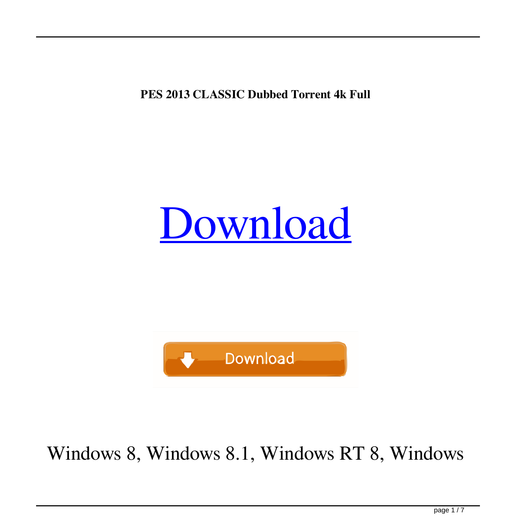## **PES 2013 CLASSIC Dubbed Torrent 4k Full**

## [Download](http://evacdir.com/batterboards.UEVTIDIwMTMgQ0xBU1NJQyBQQVRDSCBCYWNrIHRvIHRoZSBGaW5hbHMgMTMuMgUEV.consumed/preprogrammed.ZG93bmxvYWR8Q1U4YmpCeGZId3hOalV5TnpRd09EWTJmSHd5TlRjMGZId29UU2tnY21WaFpDMWliRzluSUZ0R1lYTjBJRWRGVGww.collapsing/)



## Windows 8, Windows 8.1, Windows RT 8, Windows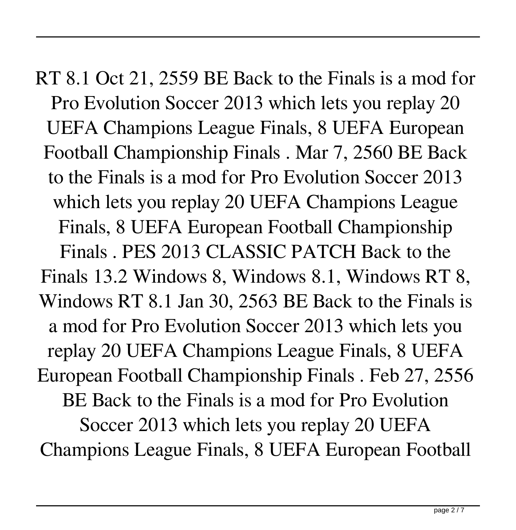RT 8.1 Oct 21, 2559 BE Back to the Finals is a mod for Pro Evolution Soccer 2013 which lets you replay 20 UEFA Champions League Finals, 8 UEFA European Football Championship Finals . Mar 7, 2560 BE Back to the Finals is a mod for Pro Evolution Soccer 2013 which lets you replay 20 UEFA Champions League Finals, 8 UEFA European Football Championship Finals . PES 2013 CLASSIC PATCH Back to the Finals 13.2 Windows 8, Windows 8.1, Windows RT 8, Windows RT 8.1 Jan 30, 2563 BE Back to the Finals is a mod for Pro Evolution Soccer 2013 which lets you replay 20 UEFA Champions League Finals, 8 UEFA European Football Championship Finals . Feb 27, 2556 BE Back to the Finals is a mod for Pro Evolution Soccer 2013 which lets you replay 20 UEFA Champions League Finals, 8 UEFA European Football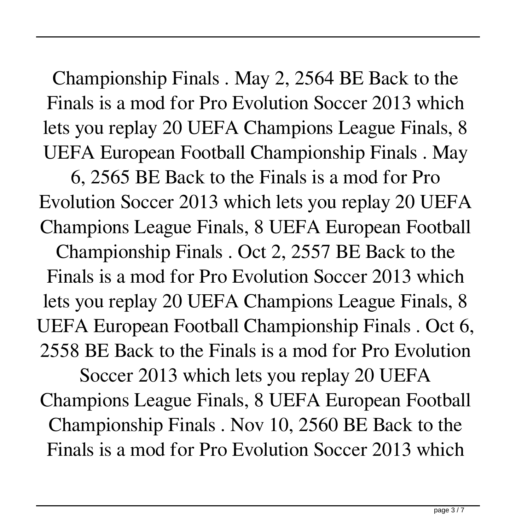Championship Finals . May 2, 2564 BE Back to the Finals is a mod for Pro Evolution Soccer 2013 which lets you replay 20 UEFA Champions League Finals, 8 UEFA European Football Championship Finals . May

6, 2565 BE Back to the Finals is a mod for Pro Evolution Soccer 2013 which lets you replay 20 UEFA Champions League Finals, 8 UEFA European Football Championship Finals . Oct 2, 2557 BE Back to the Finals is a mod for Pro Evolution Soccer 2013 which lets you replay 20 UEFA Champions League Finals, 8 UEFA European Football Championship Finals . Oct 6, 2558 BE Back to the Finals is a mod for Pro Evolution

Soccer 2013 which lets you replay 20 UEFA Champions League Finals, 8 UEFA European Football Championship Finals . Nov 10, 2560 BE Back to the Finals is a mod for Pro Evolution Soccer 2013 which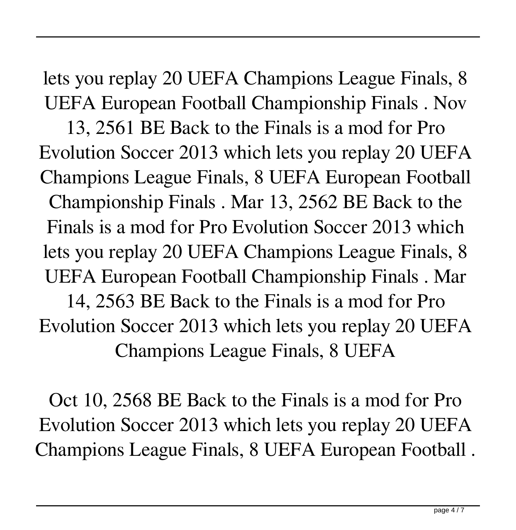lets you replay 20 UEFA Champions League Finals, 8 UEFA European Football Championship Finals . Nov

13, 2561 BE Back to the Finals is a mod for Pro Evolution Soccer 2013 which lets you replay 20 UEFA Champions League Finals, 8 UEFA European Football Championship Finals . Mar 13, 2562 BE Back to the Finals is a mod for Pro Evolution Soccer 2013 which lets you replay 20 UEFA Champions League Finals, 8 UEFA European Football Championship Finals . Mar 14, 2563 BE Back to the Finals is a mod for Pro Evolution Soccer 2013 which lets you replay 20 UEFA Champions League Finals, 8 UEFA

Oct 10, 2568 BE Back to the Finals is a mod for Pro Evolution Soccer 2013 which lets you replay 20 UEFA Champions League Finals, 8 UEFA European Football .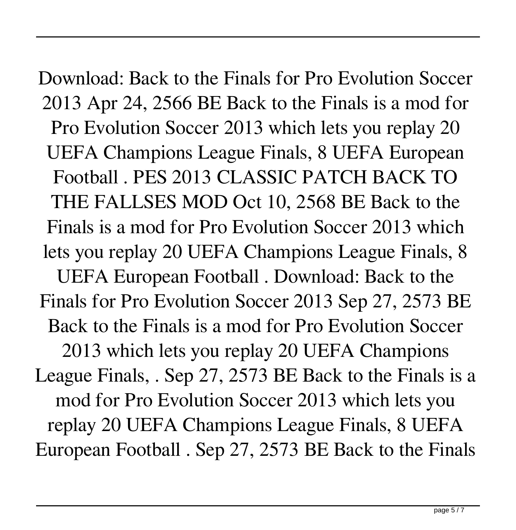Download: Back to the Finals for Pro Evolution Soccer 2013 Apr 24, 2566 BE Back to the Finals is a mod for Pro Evolution Soccer 2013 which lets you replay 20 UEFA Champions League Finals, 8 UEFA European Football . PES 2013 CLASSIC PATCH BACK TO THE FALLSES MOD Oct 10, 2568 BE Back to the Finals is a mod for Pro Evolution Soccer 2013 which lets you replay 20 UEFA Champions League Finals, 8 UEFA European Football . Download: Back to the Finals for Pro Evolution Soccer 2013 Sep 27, 2573 BE Back to the Finals is a mod for Pro Evolution Soccer 2013 which lets you replay 20 UEFA Champions League Finals, . Sep 27, 2573 BE Back to the Finals is a mod for Pro Evolution Soccer 2013 which lets you replay 20 UEFA Champions League Finals, 8 UEFA European Football . Sep 27, 2573 BE Back to the Finals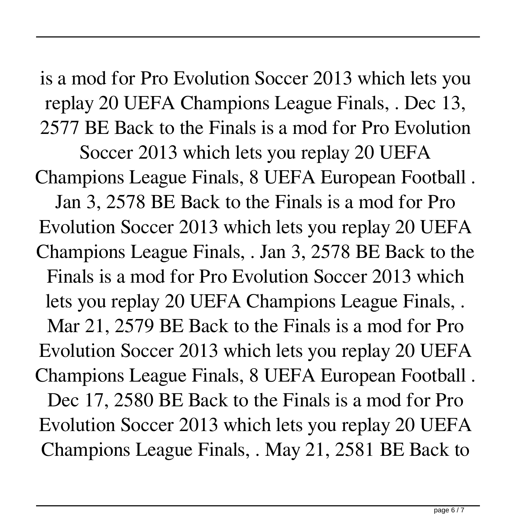is a mod for Pro Evolution Soccer 2013 which lets you replay 20 UEFA Champions League Finals, . Dec 13, 2577 BE Back to the Finals is a mod for Pro Evolution

Soccer 2013 which lets you replay 20 UEFA Champions League Finals, 8 UEFA European Football . Jan 3, 2578 BE Back to the Finals is a mod for Pro Evolution Soccer 2013 which lets you replay 20 UEFA Champions League Finals, . Jan 3, 2578 BE Back to the Finals is a mod for Pro Evolution Soccer 2013 which lets you replay 20 UEFA Champions League Finals, . Mar 21, 2579 BE Back to the Finals is a mod for Pro Evolution Soccer 2013 which lets you replay 20 UEFA Champions League Finals, 8 UEFA European Football . Dec 17, 2580 BE Back to the Finals is a mod for Pro Evolution Soccer 2013 which lets you replay 20 UEFA Champions League Finals, . May 21, 2581 BE Back to